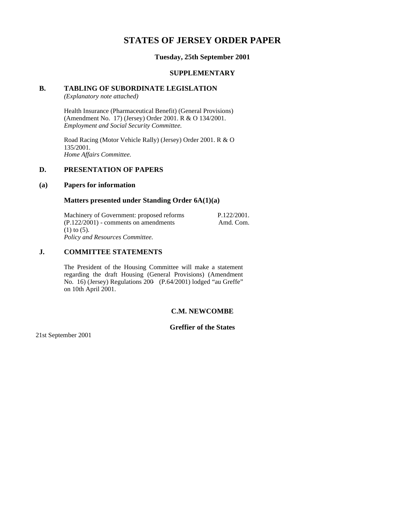# **STATES OF JERSEY ORDER PAPER**

## **Tuesday, 25th September 2001**

#### **SUPPLEMENTARY**

## **B. TABLING OF SUBORDINATE LEGISLATION**

*(Explanatory note attached)*

Health Insurance (Pharmaceutical Benefit) (General Provisions) (Amendment No. 17) (Jersey) Order 2001. R & O 134/2001. *Employment and Social Security Committee.*

Road Racing (Motor Vehicle Rally) (Jersey) Order 2001. R & O 135/2001. *Home Affairs Committee.*

## **D. PRESENTATION OF PAPERS**

#### **(a) Papers for information**

#### **Matters presented under Standing Order 6A(1)(a)**

Machinery of Government: proposed reforms  $(P.122/2001)$  - comments on amendments (1) to (5). *Policy and Resources Committee.* P.122/2001. Amd. Com.

## **J. COMMITTEE STATEMENTS**

The President of the Housing Committee will make a statement regarding the draft Housing (General Provisions) (Amendment No. 16) (Jersey) Regulations 200- (P.64/2001) lodged "au Greffe" on 10th April 2001.

## **C.M. NEWCOMBE**

# **Greffier of the States**

21st September 2001